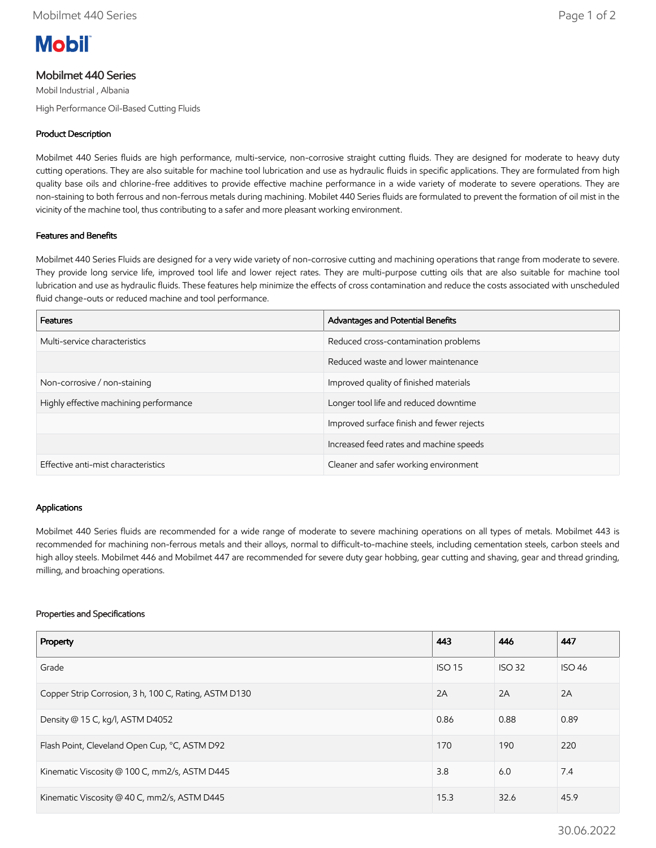

# Mobilmet 440 Series

Mobil Industrial , Albania

High Performance Oil-Based Cutting Fluids

## Product Description

Mobilmet 440 Series fluids are high performance, multi-service, non-corrosive straight cutting fluids. They are designed for moderate to heavy duty cutting operations. They are also suitable for machine tool lubrication and use as hydraulic fluids in specific applications. They are formulated from high quality base oils and chlorine-free additives to provide effective machine performance in a wide variety of moderate to severe operations. They are non-staining to both ferrous and non-ferrous metals during machining. Mobilet 440 Series fluids are formulated to prevent the formation of oil mist in the vicinity of the machine tool, thus contributing to a safer and more pleasant working environment.

## Features and Benefits

Mobilmet 440 Series Fluids are designed for a very wide variety of non-corrosive cutting and machining operations that range from moderate to severe. They provide long service life, improved tool life and lower reject rates. They are multi-purpose cutting oils that are also suitable for machine tool lubrication and use as hydraulic fluids. These features help minimize the effects of cross contamination and reduce the costs associated with unscheduled fluid change-outs or reduced machine and tool performance.

| <b>Features</b>                        | Advantages and Potential Benefits         |
|----------------------------------------|-------------------------------------------|
| Multi-service characteristics          | Reduced cross-contamination problems      |
|                                        | Reduced waste and lower maintenance       |
| Non-corrosive / non-staining           | Improved quality of finished materials    |
| Highly effective machining performance | Longer tool life and reduced downtime     |
|                                        | Improved surface finish and fewer rejects |
|                                        | Increased feed rates and machine speeds   |
| Effective anti-mist characteristics    | Cleaner and safer working environment     |

### Applications

Mobilmet 440 Series fluids are recommended for a wide range of moderate to severe machining operations on all types of metals. Mobilmet 443 is recommended for machining non-ferrous metals and their alloys, normal to difficult-to-machine steels, including cementation steels, carbon steels and high alloy steels. Mobilmet 446 and Mobilmet 447 are recommended for severe duty gear hobbing, gear cutting and shaving, gear and thread grinding, milling, and broaching operations.

#### Properties and Specifications

| Property                                              | 443           | 446           | 447           |
|-------------------------------------------------------|---------------|---------------|---------------|
| Grade                                                 | <b>ISO 15</b> | <b>ISO 32</b> | <b>ISO 46</b> |
| Copper Strip Corrosion, 3 h, 100 C, Rating, ASTM D130 | 2A            | 2A            | 2A            |
| Density @ 15 C, kg/l, ASTM D4052                      | 0.86          | 0.88          | 0.89          |
| Flash Point, Cleveland Open Cup, °C, ASTM D92         | 170           | 190           | 220           |
| Kinematic Viscosity @ 100 C, mm2/s, ASTM D445         | 3.8           | 6.0           | 7.4           |
| Kinematic Viscosity @ 40 C, mm2/s, ASTM D445          | 15.3          | 32.6          | 45.9          |